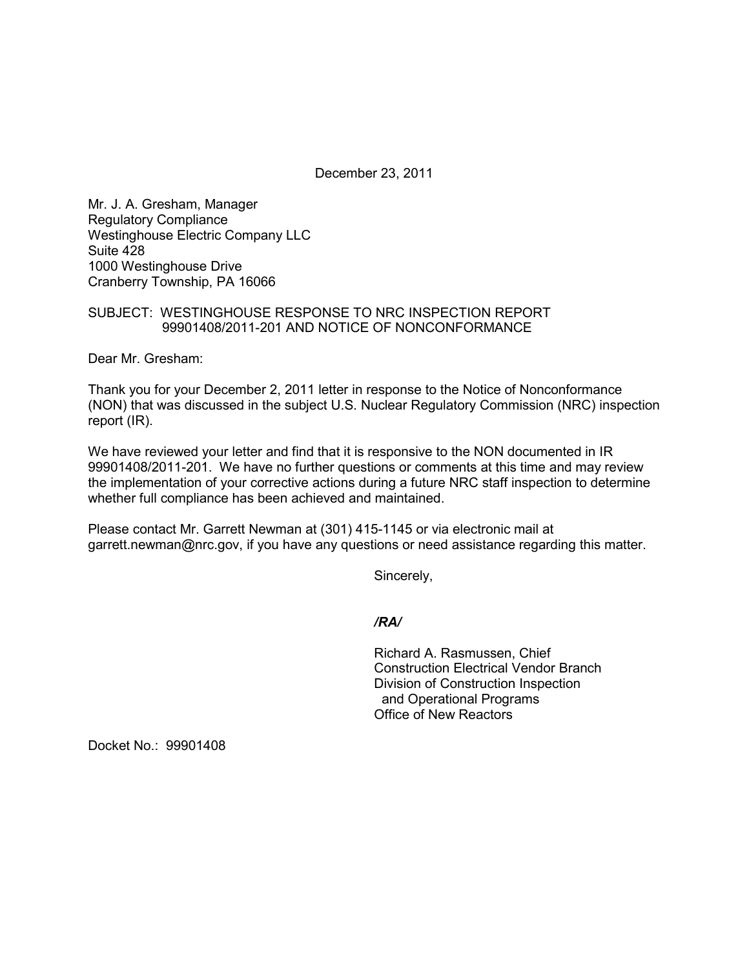December 23, 2011

Mr. J. A. Gresham, Manager Regulatory Compliance Westinghouse Electric Company LLC Suite 428 1000 Westinghouse Drive Cranberry Township, PA 16066

## SUBJECT: WESTINGHOUSE RESPONSE TO NRC INSPECTION REPORT 99901408/2011-201 AND NOTICE OF NONCONFORMANCE

Dear Mr. Gresham:

Thank you for your December 2, 2011 letter in response to the Notice of Nonconformance (NON) that was discussed in the subject U.S. Nuclear Regulatory Commission (NRC) inspection report (IR).

We have reviewed your letter and find that it is responsive to the NON documented in IR 99901408/2011-201. We have no further questions or comments at this time and may review the implementation of your corrective actions during a future NRC staff inspection to determine whether full compliance has been achieved and maintained.

Please contact Mr. Garrett Newman at (301) 415-1145 or via electronic mail at garrett.newman@nrc.gov, if you have any questions or need assistance regarding this matter.

Sincerely,

*/RA/* 

Richard A. Rasmussen, Chief Construction Electrical Vendor Branch Division of Construction Inspection and Operational Programs Office of New Reactors

Docket No.: 99901408